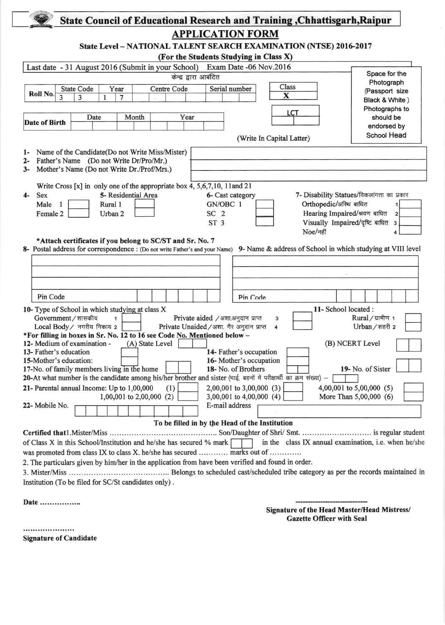| <b>APPLICATION FORM</b>                                                                                                                               |                                                                                    |
|-------------------------------------------------------------------------------------------------------------------------------------------------------|------------------------------------------------------------------------------------|
| State Level - NATIONAL TALENT SEARCH EXAMINATION (NTSE) 2016-2017                                                                                     |                                                                                    |
| (For the Students Studying in Class X)                                                                                                                |                                                                                    |
| Last date - 31 August 2016 (Submit in your School) Exam Date -06 Nov.2016                                                                             |                                                                                    |
| केन्द्र द्वारा आबंटित                                                                                                                                 | Space for the                                                                      |
| Class<br>Centre Code<br>Serial number<br><b>State Code</b><br>Year<br>Roll No.<br>$\overline{\mathbf{X}}$<br>3<br>3<br>7<br>1<br>LCT<br>Year<br>Month | Photograph<br>(Passport size<br>Black & White)<br>Photographs to                   |
| Date<br><b>Date of Birth</b>                                                                                                                          | should be<br>endorsed by                                                           |
| (Write In Capital Latter)                                                                                                                             | <b>School Head</b>                                                                 |
|                                                                                                                                                       |                                                                                    |
| Name of the Candidate(Do not Write Miss/Mister)<br>ŀ.<br>Father's Name (Do not Write Dr/Pro/Mr.)                                                      |                                                                                    |
| 2-<br>Mother's Name (Do not Write Dr./Prof/Mrs.)<br>$3-$                                                                                              |                                                                                    |
|                                                                                                                                                       |                                                                                    |
| Write Cross $[x]$ in only one of the appropriate box 4, 5,6,7,10, 11 and 21                                                                           |                                                                                    |
| 5- Residential Area<br>Sex<br>6- Cast category<br>$4-$                                                                                                | 7- Disability Statues/विकलांगता का प्रकार                                          |
| GN/OBC 1<br>Male<br>Rural 1<br>$\mathbf{1}$                                                                                                           | Orthopedic/अस्थि बाधित                                                             |
| Female 2<br>SC <sub>2</sub><br>Urban 2<br>ST <sub>3</sub>                                                                                             | Hearing Impaired/श्रवण बाधित<br>$\overline{2}$<br>Visually Impaired/दृष्टि बाधित 3 |
| Noe/नहीं                                                                                                                                              |                                                                                    |
| *Attach certificates if you belong to SC/ST and Sr. No. 7                                                                                             |                                                                                    |
|                                                                                                                                                       |                                                                                    |
| 8- Postal address for correspondence : (Do not write Father's and your Name)                                                                          | 9- Name & address of School in which studying at VIII level                        |
|                                                                                                                                                       |                                                                                    |
|                                                                                                                                                       |                                                                                    |
|                                                                                                                                                       |                                                                                    |
|                                                                                                                                                       |                                                                                    |
| Pin Code<br>Pin Code                                                                                                                                  |                                                                                    |
| 10- Type of School in which studying at class X                                                                                                       | 11- School located:                                                                |
| Government / शासकीय<br>Private aided /अशा.अनुदान प्राप्त<br>$\mathbf{1}$<br>3                                                                         | Rural/ग्रामीण 1                                                                    |
| Local Body / नगरीय निकाय 2<br>Private Unaided / अशा. गैर अनुदान प्राप्त<br>4                                                                          | Urban / शहरी 2                                                                     |
| *For filling in boxes in Sr. No. 12 to 16 see Code No. Mentioned below -                                                                              |                                                                                    |
| 12- Medium of examination -<br>(A) State Level<br>13- Father's education<br>14- Father's occupation                                                   | (B) NCERT Level                                                                    |
| 15-Mother's education:<br>16-Mother's occupation                                                                                                      |                                                                                    |
| 17-No. of family members living in the home<br>18- No. of Brothers                                                                                    | 19- No. of Sister                                                                  |
| 20-At what number is the candidate among his/her brother and sister (भाई, बहनों में परीक्षार्थी का क्रम संख्या) –                                     |                                                                                    |
| 21- Parental annual Income: Up to 1,00,000<br>(1)<br>$2,00,001$ to $3,00,000$ (3)                                                                     | 4,00,001 to $5,00,000$ (5)                                                         |
| 3,00,001 to 4,00,000 $(4)$<br>1,00,001 to 2,00,000 (2)                                                                                                | More Than 5,00,000 (6)                                                             |
| E-mail address<br>22- Mobile No.                                                                                                                      |                                                                                    |
| To be filled in by the Head of the Institution                                                                                                        |                                                                                    |
|                                                                                                                                                       |                                                                                    |
| of Class X in this School/Institution and he/she has secured % mark                                                                                   |                                                                                    |
| was promoted from class IX to class X. he/she has secured  marks out of                                                                               |                                                                                    |
| 2. The particulars given by him/her in the application from have been verified and found in order.                                                    |                                                                                    |
|                                                                                                                                                       | in the class IX annual examination, i.e. when he/she                               |

....................

Signature of Candidate

Gazette Officer with Seal